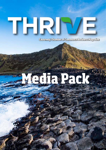## THRI Ε

**Causeway Chamber of Commerce Business Magazine**

# **Media Pack**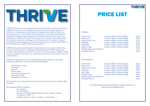THRIVE Causeway is a new magazine for businesses and the wider local community within the Causeway Coast and Glens region. Created by Causeway Chamber, we feel there is an abundance of information and opportunities which we believe we can communicate to our members and wider business community about business challenges and opportunities aligned to the Chamber's Key Priorities 2018-2020 Infrastructure, Skills and Growth. Thrive Causeway will also be an excellent tool for the Chamber to promote and engage with all businesses in the region, to support business to business engagement and encourage businesses to trade locally which in turn will help our economy & local businesses thrive.

THRIVE will provide members with the opportunity to share stories whether they be best practice, good news, challenges and opportunities. THRIVE will connect members with businesses within the Causeway Coast & Glens region. THRIVE will be a tool for members to promote, shout and connect what they have to offer to new and existing clients.

Within the magazine we will cover the following features which we will require members to share their areas of expertise and knowledge.

 Professional & Legal Financial **Property**  Motor vehicle Recruitment & Personnel Education & Skills Hospitality & Tourism

The list above is not exhaustive please let us know if you have a feature which will be of interest.

The magazine will be available to:

- our members
- key stakeholders
- premises with high footfall (solicitors, doctors offices, dentists, accountants, hotels... )
- digitally (chamber website, newsletter, social medias...)

#### Members

Front Cover 210mm width X 70mm height  $\epsilon_{350}$ Back Cover 210mm width X 297mm height  $£750$ Inside front Cover 210mm width X 297mm height  $£750$ Full Page 210mm width X 297mm height  $\epsilon_{500}$ Half Page 210mm width X 146mm height  $\epsilon_{350}$ Quarter Page 100mm width X 146mm height £225 Double pages spread feature **E**700 full page feature  $£350$ 

#### Non-Members

Front Cover 210mm width X 70mm height  $£450$ Back Cover 210mm width X 297mm height £850 Inside front Cover 210mm width X 297mm height £850 Full Page 210mm width X 297mm height £600 Half Page 210mm width X 146mm height  $\epsilon$ 450 Quarter Page 100mm width X 146mm height  $£325$ Double pages spread feature **E800** full page feature  $£450$ 

> For information on sponsored feature, please contact us at info@causewaychamber.com





| th X 70mm height     |
|----------------------|
| th X 297mm height    |
| th X 297mm height    |
| th X 297mm height    |
| th $X_1$ 46mm height |
| th X 146mm height    |
|                      |

| th X 70mm height  |
|-------------------|
| th X 297mm height |
| th X 297mm height |
| th X 297mm height |
| th X 146mm height |
| th X 146mm height |
|                   |

### PRICE LIST